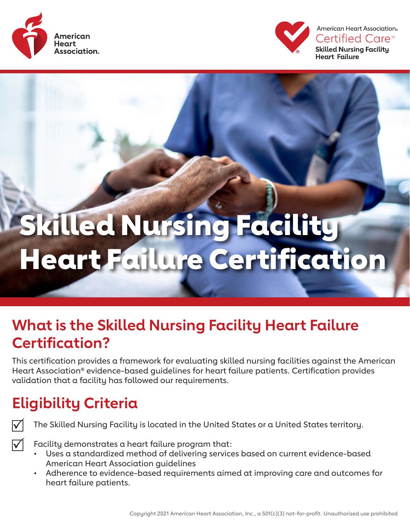



American Heart Association® Certified Care™ **Skilled Nursing Facility Heart Failure** 

# Skilled Nursing Facility Heart Failure Certification

## **What is the Skilled Nursing Facility Heart Failure Certification?**

This certification provides a framework for evaluating skilled nursing facilities against the American Heart Association® evidence-based guidelines for heart failure patients. Certification provides validation that a facility has followed our requirements.

## **Eligibility Criteria**



The Skilled Nursing Facility is located in the United States or a United States territory.

 $\Delta$ 

Facility demonstrates a heart failure program that:

- Uses a standardized method of delivering services based on current evidence-based American Heart Association guidelines
- Adherence to evidence-based requirements aimed at improving care and outcomes for heart failure patients.